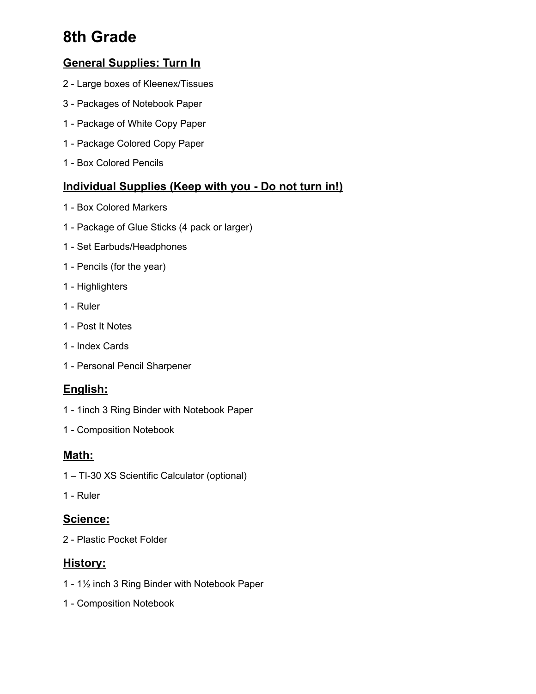# **8th Grade**

## **General Supplies: Turn In**

- Large boxes of Kleenex/Tissues
- Packages of Notebook Paper
- Package of White Copy Paper
- Package Colored Copy Paper
- Box Colored Pencils

### **Individual Supplies (Keep with you - Do not turn in!)**

- Box Colored Markers
- Package of Glue Sticks (4 pack or larger)
- Set Earbuds/Headphones
- Pencils (for the year)
- Highlighters
- Ruler
- Post It Notes
- Index Cards
- Personal Pencil Sharpener

## **English:**

- 1inch 3 Ring Binder with Notebook Paper
- Composition Notebook

#### **Math:**

- TI-30 XS Scientific Calculator (optional)
- Ruler

#### **Science:**

- Plastic Pocket Folder

#### **History:**

- 1½ inch 3 Ring Binder with Notebook Paper
- Composition Notebook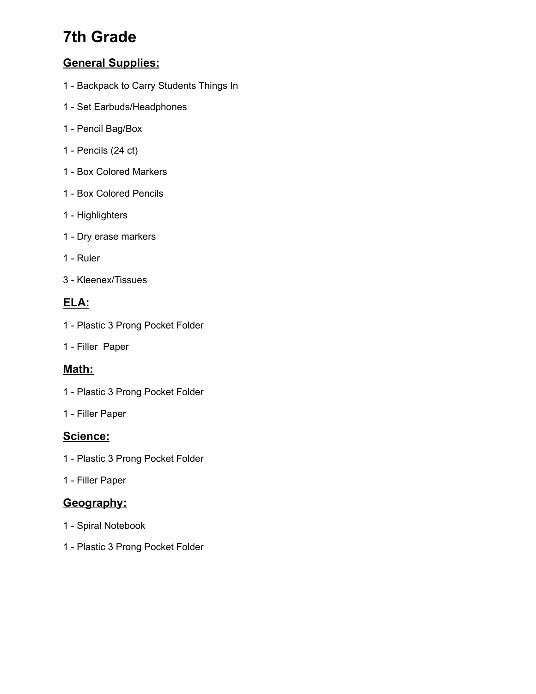# **7th Grade**

## **General Supplies:**

- Backpack to Carry Students Things In
- Set Earbuds/Headphones
- Pencil Bag/Box
- Pencils (24 ct)
- Box Colored Markers
- Box Colored Pencils
- Highlighters
- Dry erase markers
- Ruler
- Kleenex/Tissues

#### **ELA:**

- Plastic 3 Prong Pocket Folder
- Filler Paper

#### **Math:**

- Plastic 3 Prong Pocket Folder
- Filler Paper

#### **Science:**

- Plastic 3 Prong Pocket Folder
- Filler Paper

### **Geography:**

- Spiral Notebook
- Plastic 3 Prong Pocket Folder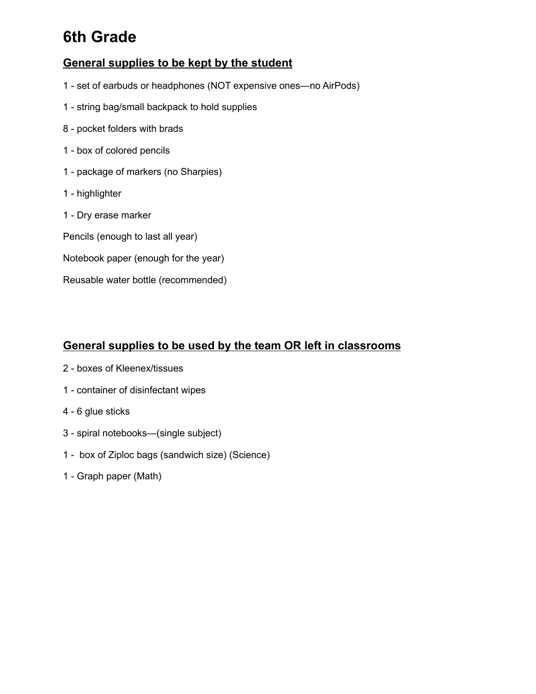# **6th Grade**

#### **General supplies to be kept by the student**

- set of earbuds or headphones (NOT expensive ones—no AirPods)
- string bag/small backpack to hold supplies
- pocket folders with brads
- box of colored pencils
- package of markers (no Sharpies)
- highlighter
- Dry erase marker
- Pencils (enough to last all year)
- Notebook paper (enough for the year)
- Reusable water bottle (recommended)

#### **General supplies to be used by the team OR left in classrooms**

- boxes of Kleenex/tissues
- container of disinfectant wipes
- 6 glue sticks
- spiral notebooks—(single subject)
- box of Ziploc bags (sandwich size) (Science)
- Graph paper (Math)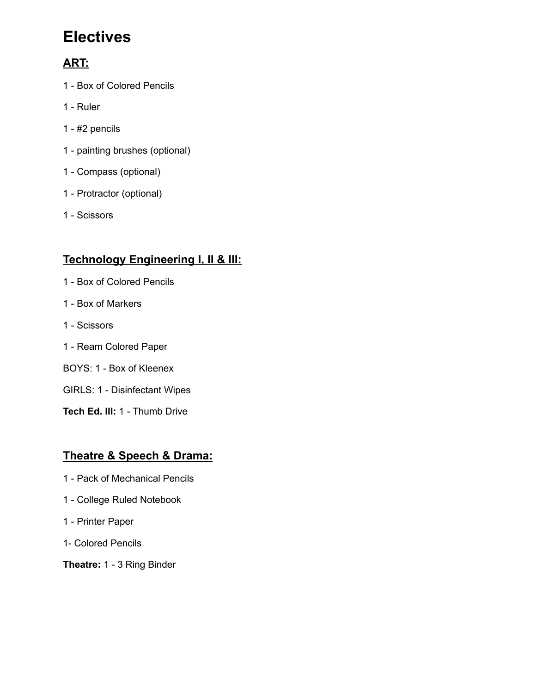# **Electives**

# **ART:**

- Box of Colored Pencils
- Ruler
- #2 pencils
- painting brushes (optional)
- Compass (optional)
- Protractor (optional)
- Scissors

# **Technology Engineering I, II & III:**

- Box of Colored Pencils
- Box of Markers
- Scissors
- Ream Colored Paper
- BOYS: 1 Box of Kleenex
- GIRLS: 1 Disinfectant Wipes
- **Tech Ed. III:** 1 Thumb Drive

## **Theatre & Speech & Drama:**

- Pack of Mechanical Pencils
- College Ruled Notebook
- Printer Paper
- 1- Colored Pencils
- **Theatre:** 1 3 Ring Binder